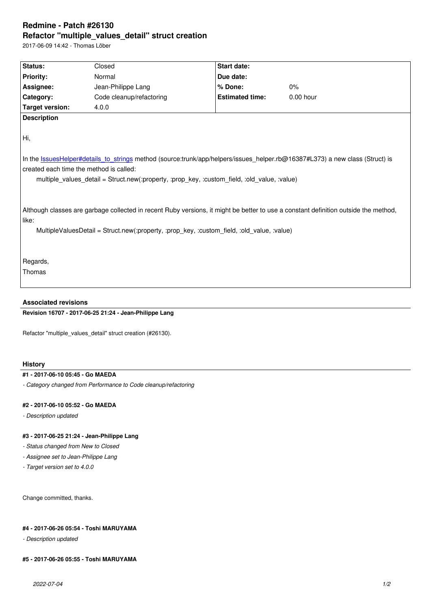#### **Refactor "multiple\_values\_detail" struct creation**

2017-06-09 14:42 - Thomas Löber

| <b>Status:</b>                          | Closed                                                                                       | <b>Start date:</b>     |                                                                                                                                     |
|-----------------------------------------|----------------------------------------------------------------------------------------------|------------------------|-------------------------------------------------------------------------------------------------------------------------------------|
| <b>Priority:</b>                        | Normal                                                                                       | Due date:              |                                                                                                                                     |
| Assignee:                               | Jean-Philippe Lang                                                                           | % Done:                | 0%                                                                                                                                  |
| Category:                               | Code cleanup/refactoring                                                                     | <b>Estimated time:</b> | $0.00$ hour                                                                                                                         |
| <b>Target version:</b>                  | 4.0.0                                                                                        |                        |                                                                                                                                     |
| <b>Description</b>                      |                                                                                              |                        |                                                                                                                                     |
|                                         |                                                                                              |                        |                                                                                                                                     |
| Hi,                                     |                                                                                              |                        |                                                                                                                                     |
|                                         |                                                                                              |                        |                                                                                                                                     |
|                                         |                                                                                              |                        | In the IssuesHelper#details to strings method (source:trunk/app/helpers/issues helper.rb@16387#L373) a new class (Struct) is        |
|                                         |                                                                                              |                        |                                                                                                                                     |
| created each time the method is called: |                                                                                              |                        |                                                                                                                                     |
|                                         | multiple_values_detail = Struct.new(:property, :prop_key, :custom_field, :old_value, :value) |                        |                                                                                                                                     |
|                                         |                                                                                              |                        |                                                                                                                                     |
|                                         |                                                                                              |                        |                                                                                                                                     |
|                                         |                                                                                              |                        | Although classes are garbage collected in recent Ruby versions, it might be better to use a constant definition outside the method, |
| like:                                   |                                                                                              |                        |                                                                                                                                     |
|                                         | MultipleValuesDetail = Struct.new(:property, :prop key, :custom field, :old value, :value)   |                        |                                                                                                                                     |
|                                         |                                                                                              |                        |                                                                                                                                     |
|                                         |                                                                                              |                        |                                                                                                                                     |
| Regards,                                |                                                                                              |                        |                                                                                                                                     |
| Thomas                                  |                                                                                              |                        |                                                                                                                                     |
|                                         |                                                                                              |                        |                                                                                                                                     |

## **Revision 16707 - 2017-06-25 21:24 - Jean-Philippe Lang**

Refactor "multiple\_values\_detail" struct creation (#26130).

## **History**

### **#1 - 2017-06-10 05:45 - Go MAEDA**

*- Category changed from Performance to Code cleanup/refactoring*

#### **#2 - 2017-06-10 05:52 - Go MAEDA**

*- Description updated*

# **#3 - 2017-06-25 21:24 - Jean-Philippe Lang**

- *Status changed from New to Closed*
- *Assignee set to Jean-Philippe Lang*
- *Target version set to 4.0.0*

Change committed, thanks.

### **#4 - 2017-06-26 05:54 - Toshi MARUYAMA**

*- Description updated*

#### **#5 - 2017-06-26 05:55 - Toshi MARUYAMA**